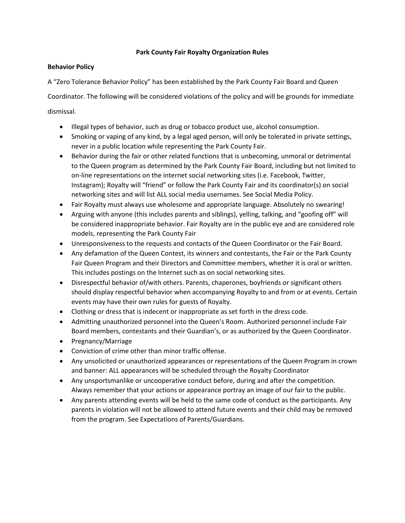# **Park County Fair Royalty Organization Rules**

# **Behavior Policy**

A "Zero Tolerance Behavior Policy" has been established by the Park County Fair Board and Queen

Coordinator. The following will be considered violations of the policy and will be grounds for immediate dismissal.

- Illegal types of behavior, such as drug or tobacco product use, alcohol consumption.
- Smoking or vaping of any kind, by a legal aged person, will only be tolerated in private settings, never in a public location while representing the Park County Fair.
- Behavior during the fair or other related functions that is unbecoming, unmoral or detrimental to the Queen program as determined by the Park County Fair Board, including but not limited to on-line representations on the internet social networking sites (i.e. Facebook, Twitter, Instagram); Royalty will "friend" or follow the Park County Fair and its coordinator(s) on social networking sites and will list ALL social media usernames. See Social Media Policy.
- Fair Royalty must always use wholesome and appropriate language. Absolutely no swearing!
- Arguing with anyone (this includes parents and siblings), yelling, talking, and "goofing off" will be considered inappropriate behavior. Fair Royalty are in the public eye and are considered role models, representing the Park County Fair
- Unresponsiveness to the requests and contacts of the Queen Coordinator or the Fair Board.
- Any defamation of the Queen Contest, its winners and contestants, the Fair or the Park County Fair Queen Program and their Directors and Committee members, whether it is oral or written. This includes postings on the Internet such as on social networking sites.
- Disrespectful behavior of/with others. Parents, chaperones, boyfriends or significant others should display respectful behavior when accompanying Royalty to and from or at events. Certain events may have their own rules for guests of Royalty.
- Clothing or dress that is indecent or inappropriate as set forth in the dress code.
- Admitting unauthorized personnel into the Queen's Room. Authorized personnel include Fair Board members, contestants and their Guardian's, or as authorized by the Queen Coordinator.
- Pregnancy/Marriage
- Conviction of crime other than minor traffic offense.
- Any unsolicited or unauthorized appearances or representations of the Queen Program in crown and banner: ALL appearances will be scheduled through the Royalty Coordinator
- Any unsportsmanlike or uncooperative conduct before, during and after the competition. Always remember that your actions or appearance portray an image of our fair to the public.
- Any parents attending events will be held to the same code of conduct as the participants. Any parents in violation will not be allowed to attend future events and their child may be removed from the program. See Expectations of Parents/Guardians.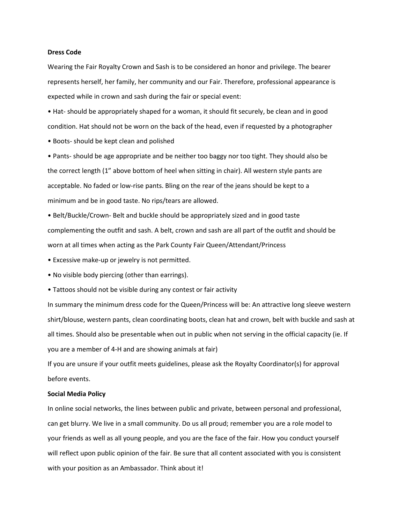#### **Dress Code**

Wearing the Fair Royalty Crown and Sash is to be considered an honor and privilege. The bearer represents herself, her family, her community and our Fair. Therefore, professional appearance is expected while in crown and sash during the fair or special event:

• Hat- should be appropriately shaped for a woman, it should fit securely, be clean and in good condition. Hat should not be worn on the back of the head, even if requested by a photographer

• Boots- should be kept clean and polished

• Pants- should be age appropriate and be neither too baggy nor too tight. They should also be the correct length (1" above bottom of heel when sitting in chair). All western style pants are acceptable. No faded or low-rise pants. Bling on the rear of the jeans should be kept to a minimum and be in good taste. No rips/tears are allowed.

• Belt/Buckle/Crown- Belt and buckle should be appropriately sized and in good taste complementing the outfit and sash. A belt, crown and sash are all part of the outfit and should be worn at all times when acting as the Park County Fair Queen/Attendant/Princess

- Excessive make-up or jewelry is not permitted.
- No visible body piercing (other than earrings).
- Tattoos should not be visible during any contest or fair activity

In summary the minimum dress code for the Queen/Princess will be: An attractive long sleeve western shirt/blouse, western pants, clean coordinating boots, clean hat and crown, belt with buckle and sash at all times. Should also be presentable when out in public when not serving in the official capacity (ie. If you are a member of 4-H and are showing animals at fair)

If you are unsure if your outfit meets guidelines, please ask the Royalty Coordinator(s) for approval before events.

#### **Social Media Policy**

In online social networks, the lines between public and private, between personal and professional, can get blurry. We live in a small community. Do us all proud; remember you are a role model to your friends as well as all young people, and you are the face of the fair. How you conduct yourself will reflect upon public opinion of the fair. Be sure that all content associated with you is consistent with your position as an Ambassador. Think about it!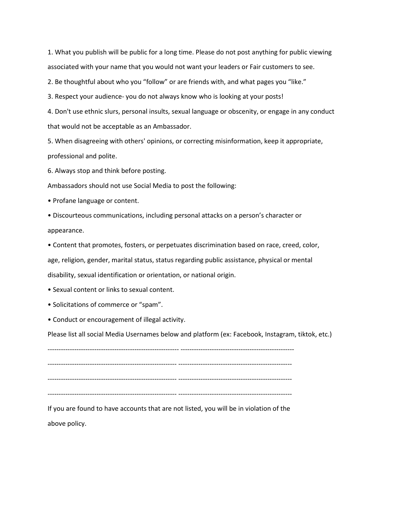1. What you publish will be public for a long time. Please do not post anything for public viewing associated with your name that you would not want your leaders or Fair customers to see.

2. Be thoughtful about who you "follow" or are friends with, and what pages you "like."

3. Respect your audience- you do not always know who is looking at your posts!

4. Don't use ethnic slurs, personal insults, sexual language or obscenity, or engage in any conduct that would not be acceptable as an Ambassador.

5. When disagreeing with others' opinions, or correcting misinformation, keep it appropriate, professional and polite.

6. Always stop and think before posting.

Ambassadors should not use Social Media to post the following:

• Profane language or content.

• Discourteous communications, including personal attacks on a person's character or appearance.

• Content that promotes, fosters, or perpetuates discrimination based on race, creed, color, age, religion, gender, marital status, status regarding public assistance, physical or mental disability, sexual identification or orientation, or national origin.

• Sexual content or links to sexual content.

• Solicitations of commerce or "spam".

• Conduct or encouragement of illegal activity.

Please list all social Media Usernames below and platform (ex: Facebook, Instagram, tiktok, etc.)

----------------------------------------------------------- --------------------------------------------------- ---------------------------------------------------------- --------------------------------------------------- ---------------------------------------------------------- --------------------------------------------------- ---------------------------------------------------------- ---------------------------------------------------

If you are found to have accounts that are not listed, you will be in violation of the above policy.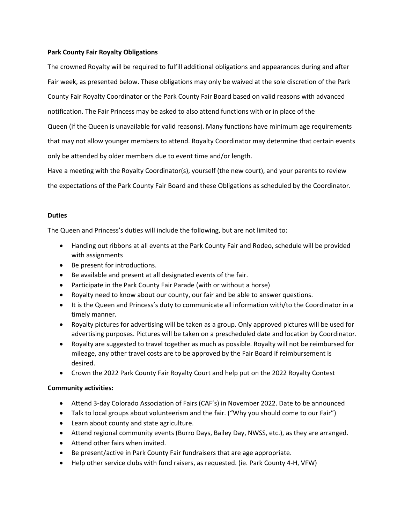## **Park County Fair Royalty Obligations**

The crowned Royalty will be required to fulfill additional obligations and appearances during and after Fair week, as presented below. These obligations may only be waived at the sole discretion of the Park County Fair Royalty Coordinator or the Park County Fair Board based on valid reasons with advanced notification. The Fair Princess may be asked to also attend functions with or in place of the Queen (if the Queen is unavailable for valid reasons). Many functions have minimum age requirements that may not allow younger members to attend. Royalty Coordinator may determine that certain events only be attended by older members due to event time and/or length. Have a meeting with the Royalty Coordinator(s), yourself (the new court), and your parents to review

the expectations of the Park County Fair Board and these Obligations as scheduled by the Coordinator.

### **Duties**

The Queen and Princess's duties will include the following, but are not limited to:

- Handing out ribbons at all events at the Park County Fair and Rodeo, schedule will be provided with assignments
- Be present for introductions.
- Be available and present at all designated events of the fair.
- Participate in the Park County Fair Parade (with or without a horse)
- Royalty need to know about our county, our fair and be able to answer questions.
- It is the Queen and Princess's duty to communicate all information with/to the Coordinator in a timely manner.
- Royalty pictures for advertising will be taken as a group. Only approved pictures will be used for advertising purposes. Pictures will be taken on a prescheduled date and location by Coordinator.
- Royalty are suggested to travel together as much as possible. Royalty will not be reimbursed for mileage, any other travel costs are to be approved by the Fair Board if reimbursement is desired.
- Crown the 2022 Park County Fair Royalty Court and help put on the 2022 Royalty Contest

## **Community activities:**

- Attend 3-day Colorado Association of Fairs (CAF's) in November 2022. Date to be announced
- Talk to local groups about volunteerism and the fair. ("Why you should come to our Fair")
- Learn about county and state agriculture.
- Attend regional community events (Burro Days, Bailey Day, NWSS, etc.), as they are arranged.
- Attend other fairs when invited.
- Be present/active in Park County Fair fundraisers that are age appropriate.
- Help other service clubs with fund raisers, as requested. (ie. Park County 4-H, VFW)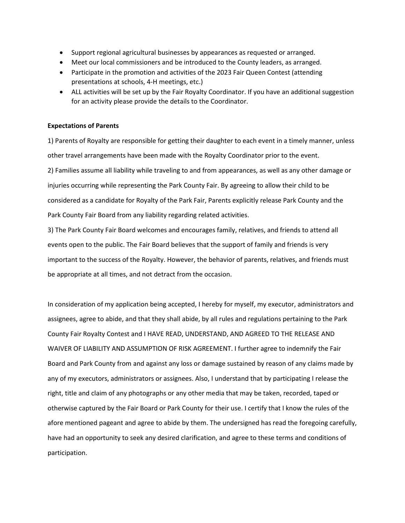- Support regional agricultural businesses by appearances as requested or arranged.
- Meet our local commissioners and be introduced to the County leaders, as arranged.
- Participate in the promotion and activities of the 2023 Fair Queen Contest (attending presentations at schools, 4-H meetings, etc.)
- ALL activities will be set up by the Fair Royalty Coordinator. If you have an additional suggestion for an activity please provide the details to the Coordinator.

### **Expectations of Parents**

1) Parents of Royalty are responsible for getting their daughter to each event in a timely manner, unless other travel arrangements have been made with the Royalty Coordinator prior to the event. 2) Families assume all liability while traveling to and from appearances, as well as any other damage or injuries occurring while representing the Park County Fair. By agreeing to allow their child to be considered as a candidate for Royalty of the Park Fair, Parents explicitly release Park County and the Park County Fair Board from any liability regarding related activities.

3) The Park County Fair Board welcomes and encourages family, relatives, and friends to attend all events open to the public. The Fair Board believes that the support of family and friends is very important to the success of the Royalty. However, the behavior of parents, relatives, and friends must be appropriate at all times, and not detract from the occasion.

In consideration of my application being accepted, I hereby for myself, my executor, administrators and assignees, agree to abide, and that they shall abide, by all rules and regulations pertaining to the Park County Fair Royalty Contest and I HAVE READ, UNDERSTAND, AND AGREED TO THE RELEASE AND WAIVER OF LIABILITY AND ASSUMPTION OF RISK AGREEMENT. I further agree to indemnify the Fair Board and Park County from and against any loss or damage sustained by reason of any claims made by any of my executors, administrators or assignees. Also, I understand that by participating I release the right, title and claim of any photographs or any other media that may be taken, recorded, taped or otherwise captured by the Fair Board or Park County for their use. I certify that I know the rules of the afore mentioned pageant and agree to abide by them. The undersigned has read the foregoing carefully, have had an opportunity to seek any desired clarification, and agree to these terms and conditions of participation.